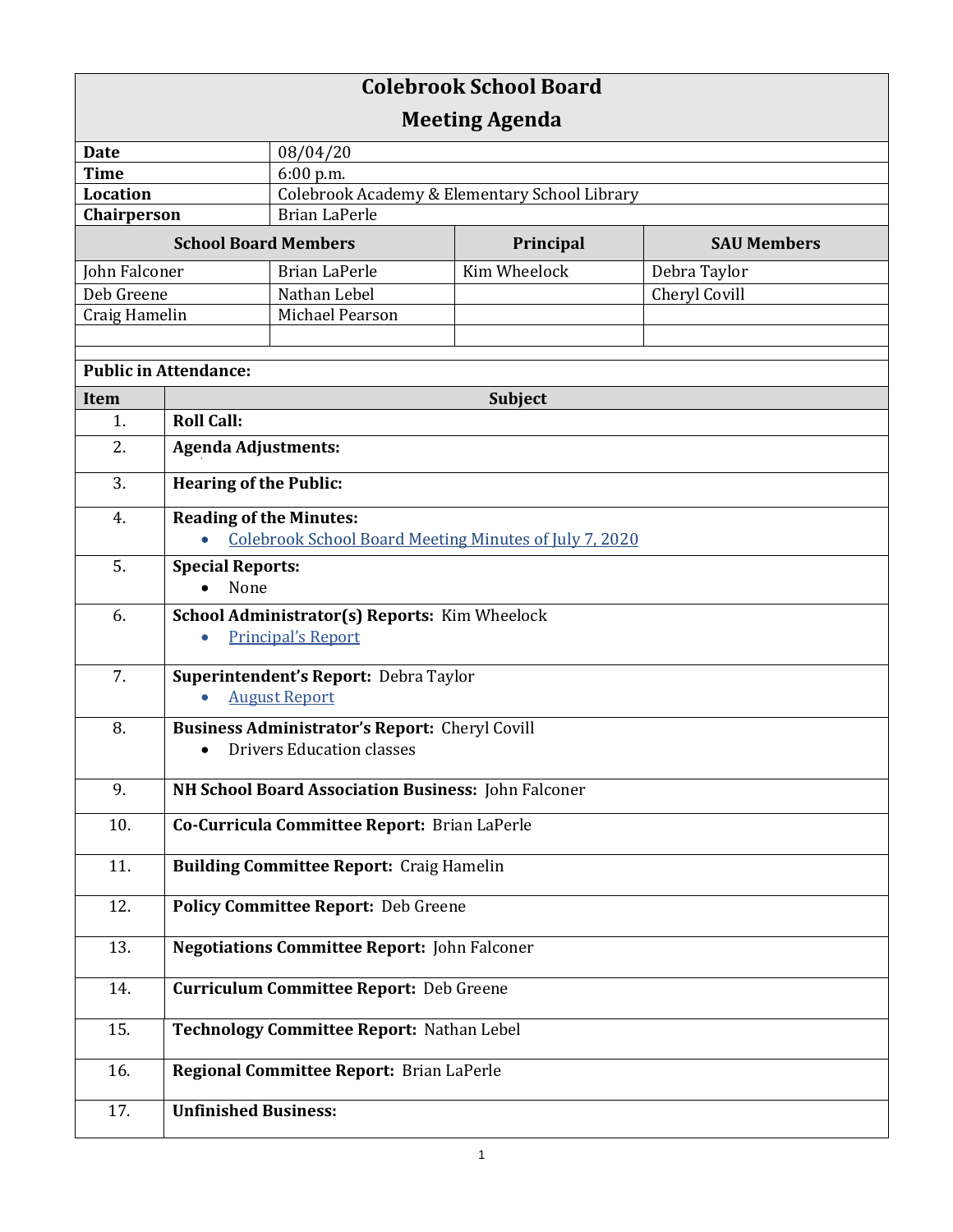| <b>Colebrook School Board</b> |                                                     |                                                               |              |                    |  |  |
|-------------------------------|-----------------------------------------------------|---------------------------------------------------------------|--------------|--------------------|--|--|
| <b>Meeting Agenda</b>         |                                                     |                                                               |              |                    |  |  |
| <b>Date</b>                   |                                                     | 08/04/20                                                      |              |                    |  |  |
| <b>Time</b>                   |                                                     | 6:00 p.m.                                                     |              |                    |  |  |
| <b>Location</b>               |                                                     | Colebrook Academy & Elementary School Library                 |              |                    |  |  |
| Chairperson                   |                                                     | <b>Brian LaPerle</b>                                          |              |                    |  |  |
| <b>School Board Members</b>   |                                                     |                                                               | Principal    | <b>SAU Members</b> |  |  |
| John Falconer                 |                                                     | <b>Brian LaPerle</b>                                          | Kim Wheelock | Debra Taylor       |  |  |
| Deb Greene                    |                                                     | Nathan Lebel                                                  |              | Cheryl Covill      |  |  |
| Craig Hamelin                 |                                                     | Michael Pearson                                               |              |                    |  |  |
|                               |                                                     |                                                               |              |                    |  |  |
| <b>Public in Attendance:</b>  |                                                     |                                                               |              |                    |  |  |
| Item                          | Subject                                             |                                                               |              |                    |  |  |
| 1.                            | <b>Roll Call:</b>                                   |                                                               |              |                    |  |  |
| 2.                            | <b>Agenda Adjustments:</b>                          |                                                               |              |                    |  |  |
| 3.                            | <b>Hearing of the Public:</b>                       |                                                               |              |                    |  |  |
| 4.                            | <b>Reading of the Minutes:</b>                      |                                                               |              |                    |  |  |
|                               |                                                     | <b>Colebrook School Board Meeting Minutes of July 7, 2020</b> |              |                    |  |  |
| 5.                            | <b>Special Reports:</b>                             |                                                               |              |                    |  |  |
|                               | None                                                |                                                               |              |                    |  |  |
| 6.                            |                                                     | School Administrator(s) Reports: Kim Wheelock                 |              |                    |  |  |
|                               |                                                     | <b>Principal's Report</b>                                     |              |                    |  |  |
| 7.                            | Superintendent's Report: Debra Taylor               |                                                               |              |                    |  |  |
|                               | <b>August Report</b><br>$\bullet$                   |                                                               |              |                    |  |  |
| 8.                            | Business Administrator's Report: Cheryl Covill      |                                                               |              |                    |  |  |
|                               | <b>Drivers Education classes</b><br>$\bullet$       |                                                               |              |                    |  |  |
| 9.                            | NH School Board Association Business: John Falconer |                                                               |              |                    |  |  |
| 10.                           | Co-Curricula Committee Report: Brian LaPerle        |                                                               |              |                    |  |  |
| 11.                           | <b>Building Committee Report: Craig Hamelin</b>     |                                                               |              |                    |  |  |
| 12.                           | Policy Committee Report: Deb Greene                 |                                                               |              |                    |  |  |
| 13.                           | <b>Negotiations Committee Report: John Falconer</b> |                                                               |              |                    |  |  |
| 14.                           | <b>Curriculum Committee Report: Deb Greene</b>      |                                                               |              |                    |  |  |
| 15.                           | Technology Committee Report: Nathan Lebel           |                                                               |              |                    |  |  |
| 16.                           | Regional Committee Report: Brian LaPerle            |                                                               |              |                    |  |  |
| 17.                           | <b>Unfinished Business:</b>                         |                                                               |              |                    |  |  |